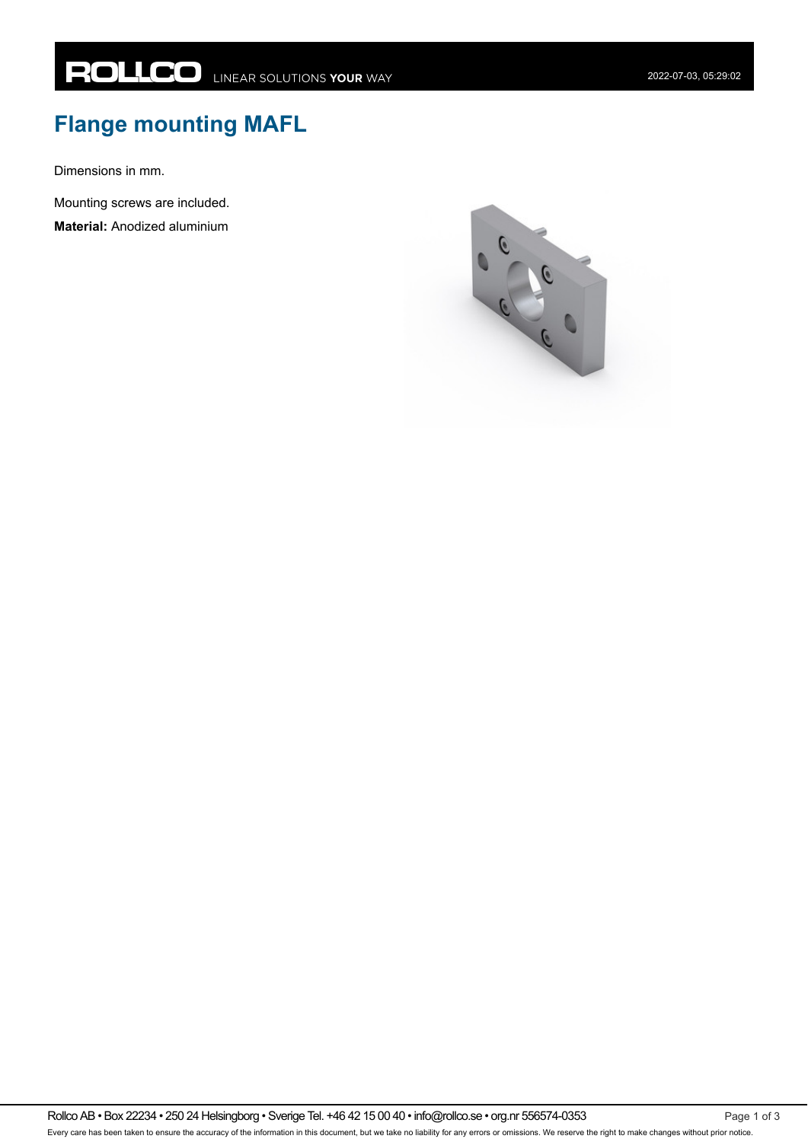## **Flange mounting MAFL**

Dimensions in mm.

Mounting screws are included.

**Material:** Anodized aluminium

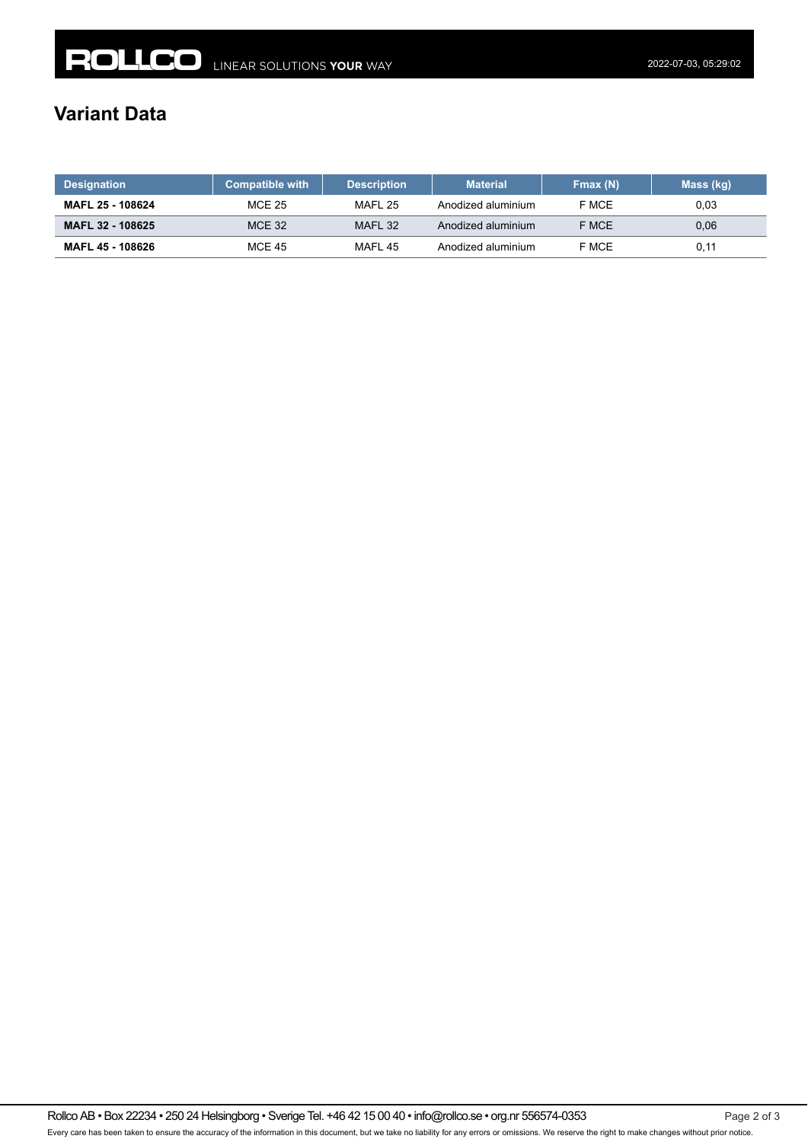## **Variant Data**

| <b>Designation</b> | <b>Compatible with</b> | <b>Description</b> | <b>Material</b>    | Fmax (N) | Mass (kg) |
|--------------------|------------------------|--------------------|--------------------|----------|-----------|
| MAFL 25 - 108624   | <b>MCE 25</b>          | MAFL 25            | Anodized aluminium | F MCE    | 0.03      |
| MAFL 32 - 108625   | <b>MCE 32</b>          | MAFL 32            | Anodized aluminium | F MCE    | 0.06      |
| MAFL 45 - 108626   | <b>MCE 45</b>          | MAFL 45            | Anodized aluminium | F MCE    | 0,11      |

Rollco AB • Box 22234 • 250 24 Helsingborg • Sverige Tel. +46 42 15 00 40 • info@rollco.se • org.nr 556574-0353 Page 2 of 3 Every care has been taken to ensure the accuracy of the information in this document, but we take no liability for any errors or omissions. We reserve the right to make changes without prior notice.